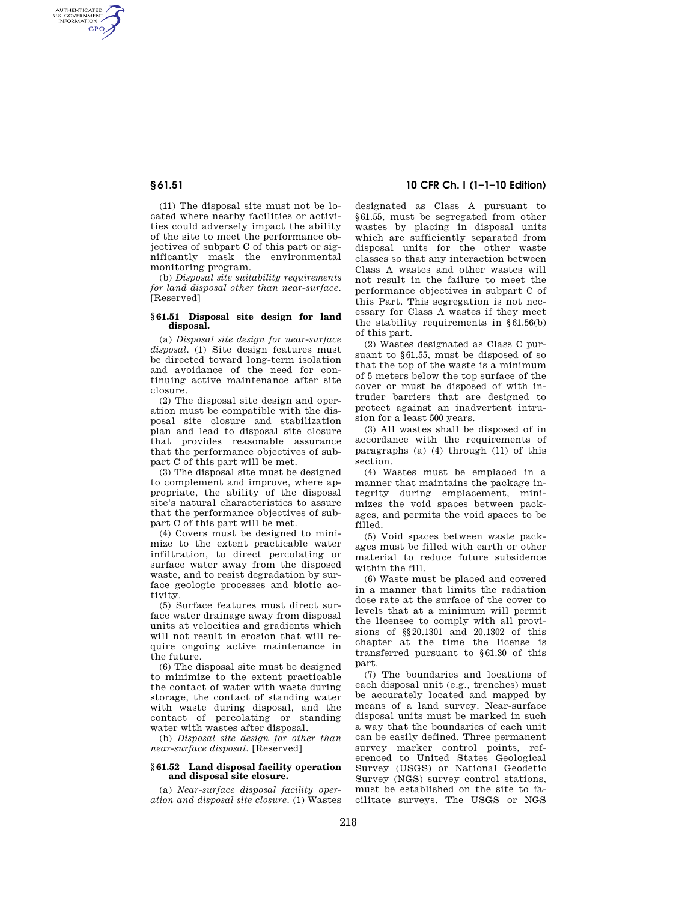AUTHENTICATED<br>U.S. GOVERNMENT<br>INFORMATION **GPO** 

> (11) The disposal site must not be located where nearby facilities or activities could adversely impact the ability of the site to meet the performance objectives of subpart C of this part or significantly mask the environmental monitoring program.

(b) *Disposal site suitability requirements for land disposal other than near-surface.*  [Reserved]

## **§ 61.51 Disposal site design for land disposal.**

(a) *Disposal site design for near-surface disposal.* (1) Site design features must be directed toward long-term isolation and avoidance of the need for continuing active maintenance after site closure.

(2) The disposal site design and operation must be compatible with the disposal site closure and stabilization plan and lead to disposal site closure that provides reasonable assurance that the performance objectives of subpart C of this part will be met.

(3) The disposal site must be designed to complement and improve, where appropriate, the ability of the disposal site's natural characteristics to assure that the performance objectives of subpart C of this part will be met.

(4) Covers must be designed to minimize to the extent practicable water infiltration, to direct percolating or surface water away from the disposed waste, and to resist degradation by surface geologic processes and biotic activity.

(5) Surface features must direct surface water drainage away from disposal units at velocities and gradients which will not result in erosion that will require ongoing active maintenance in the future.

(6) The disposal site must be designed to minimize to the extent practicable the contact of water with waste during storage, the contact of standing water with waste during disposal, and the contact of percolating or standing water with wastes after disposal.

(b) *Disposal site design for other than near-surface disposal.* [Reserved]

# **§ 61.52 Land disposal facility operation and disposal site closure.**

(a) *Near-surface disposal facility operation and disposal site closure.* (1) Wastes

# **§ 61.51 10 CFR Ch. I (1–1–10 Edition)**

designated as Class A pursuant to §61.55, must be segregated from other wastes by placing in disposal units which are sufficiently separated from disposal units for the other waste classes so that any interaction between Class A wastes and other wastes will not result in the failure to meet the performance objectives in subpart C of this Part. This segregation is not necessary for Class A wastes if they meet the stability requirements in §61.56(b) of this part.

(2) Wastes designated as Class C pursuant to §61.55, must be disposed of so that the top of the waste is a minimum of 5 meters below the top surface of the cover or must be disposed of with intruder barriers that are designed to protect against an inadvertent intrusion for a least 500 years.

(3) All wastes shall be disposed of in accordance with the requirements of paragraphs (a) (4) through (11) of this section.

(4) Wastes must be emplaced in a manner that maintains the package integrity during emplacement, minimizes the void spaces between packages, and permits the void spaces to be filled.

(5) Void spaces between waste packages must be filled with earth or other material to reduce future subsidence within the fill.

(6) Waste must be placed and covered in a manner that limits the radiation dose rate at the surface of the cover to levels that at a minimum will permit the licensee to comply with all provisions of §§20.1301 and 20.1302 of this chapter at the time the license is transferred pursuant to §61.30 of this part.

(7) The boundaries and locations of each disposal unit (e.g., trenches) must be accurately located and mapped by means of a land survey. Near-surface disposal units must be marked in such a way that the boundaries of each unit can be easily defined. Three permanent survey marker control points, referenced to United States Geological Survey (USGS) or National Geodetic Survey (NGS) survey control stations, must be established on the site to facilitate surveys. The USGS or NGS